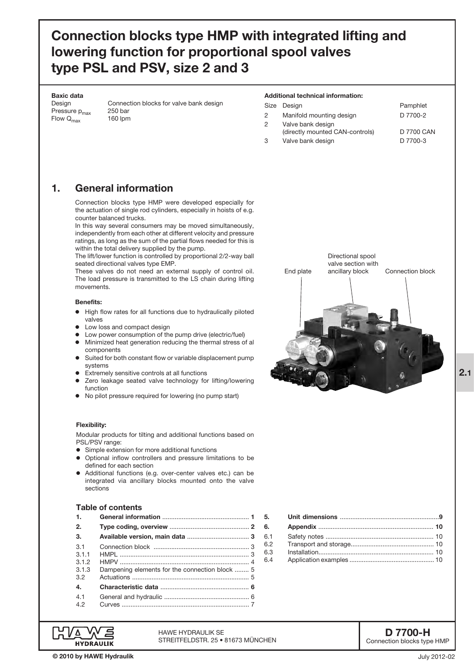# Connection blocks type HMP with integrated lifting and lowering function for proportional spool valves type PSL and PSV, size 2 and 3

#### Baxic data

Pressure  $p_{max}$  250 bar<br>Flow  $Q_{max}$  160 lpm Flow  $Q_{\text{max}}$ 

# Design Connection blocks for valve bank design

#### Additional technical information:

End plate

|               | Size Design                                          | Pamphlet   |
|---------------|------------------------------------------------------|------------|
| $\mathcal{P}$ | Manifold mounting design                             | D 7700-2   |
| $\mathcal{P}$ | Valve bank design<br>(directly mounted CAN-controls) | D 7700 CAN |
| 3             | Valve bank design                                    | D 7700-3   |

Directional spool valve section with

ancillary block Connection block

# 1. General information

Connection blocks type HMP were developed especially for the actuation of single rod cylinders, especially in hoists of e.g. counter balanced trucks.

In this way several consumers may be moved simultaneously, independently from each other at different velocity and pressure ratings, as long as the sum of the partial flows needed for this is within the total delivery supplied by the pump.

The lift/lower function is controlled by proportional 2/2-way ball seated directional valves type EMP.

These valves do not need an external supply of control oil. The load pressure is transmitted to the LS chain during lifting movements.

### Benefits:

- o High flow rates for all functions due to hydraulically piloted valves
- Low loss and compact design
- Low power consumption of the pump drive (electric/fuel)
- o Minimized heat generation reducing the thermal stress of al components
- Suited for both constant flow or variable displacement pump systems
- Extremely sensitive controls at all functions
- Zero leakage seated valve technology for lifting/lowering function
- No pilot pressure required for lowering (no pump start)

#### Flexibility:

Modular products for tilting and additional functions based on PSL/PSV range:

- o Simple extension for more additional functions
- o Optional inflow controllers and pressure limitations to be defined for each section
- Additional functions (e.g. over-center valves etc.) can be integrated via ancillary blocks mounted onto the valve sections

# Table of contents

| 1.                                              |                                                |
|-------------------------------------------------|------------------------------------------------|
| 2.                                              |                                                |
| 3.                                              |                                                |
| $\overline{3}1$<br>311<br>3.1.2<br>3.1.3<br>3.2 | Dampening elements for the connection block  5 |
| 4.<br>4.1<br>42                                 |                                                |



| 6.1 |  |
|-----|--|
| 6.2 |  |
| 6.3 |  |
| 6.4 |  |

D 7700-H Connection blocks type HMP 2.1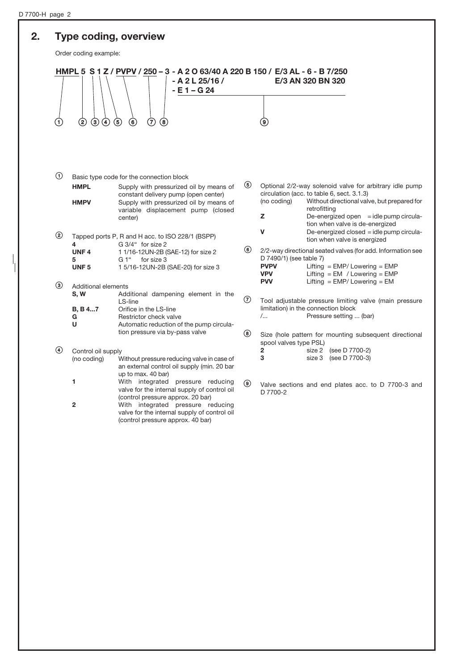#### 2. Type coding, overview HMPL 5 S 1 Z / PVPV / 250 – 3 - A 2 O 63/40 A 220 B 150 / E/3 AL - 6 - B 7/250 - A 2 L 25/16 / E/3 AN 320 BN 320 - E 1 – G 24  $\begin{array}{ccc} (1) & (2) & (3) & (4) & (5) & (6) & (7) & (8) \end{array}$ Order coding example:  $\Theta$  Basic type code for the connection block **HMPL** Supply with pressurized oil by means of constant delivery pump (open center) **HMPV** Supply with pressurized oil by means of variable displacement pump (closed center) < Tapped ports P, R and H acc. to ISO 228/1 (BSPP)  $4 \overline{\phantom{a}}$  G 3/4" for size 2 UNF 4 1 1/16-12UN-2B (SAE-12) for size 2 5 G 1" for size 3 UNF 5 1 5/16-12UN-2B (SAE-20) for size 3 3 Additional elements<br> **S, W** Add Additional dampening element in the LS-line B, B 4...7 Orifice in the LS-line G Restrictor check valve U Automatic reduction of the pump circulation pressure via by-pass valve > Control oil supply (no coding) Without pressure reducing valve in case of an external control oil supply (min. 20 bar up to max. 40 bar) 1 With integrated pressure reducing valve for the internal supply of control oil (control pressure approx. 20 bar) ? Optional 2/2-way solenoid valve for arbitrary idle pump circulation (acc. to table 6, sect. 3.1.3) (no coding) Without directional valve, but prepared for retrofitting  $Z$  De-energized open  $=$  idle pump circulation when valve is de-energized  $V$  De-energized closed = idle pump circulation when valve is energized @ 2/2-way directional seated valves (for add. Information see D 7490/1) (see table 7)<br>**PVPV** Lifting  $Lifting = EMP / Lowering = EMP$ VPV Lifting = EM / Lowering = EMP **PVV** Lifting = EMP/ Lowering = EM  $\odot$  Tool adjustable pressure limiting valve (main pressure limitation) in the connection block /... Pressure setting ... (bar) B Size (hole pattern for mounting subsequent directional spool valves type PSL) 2 size 2 (see D 7700-2) 3 size 3 (see D 7700-3) C Valve sections and end plates acc. to D 7700-3 and D 7700-2

**2** With integrated pressure reducing

valve for the internal supply of control oil (control pressure approx. 40 bar)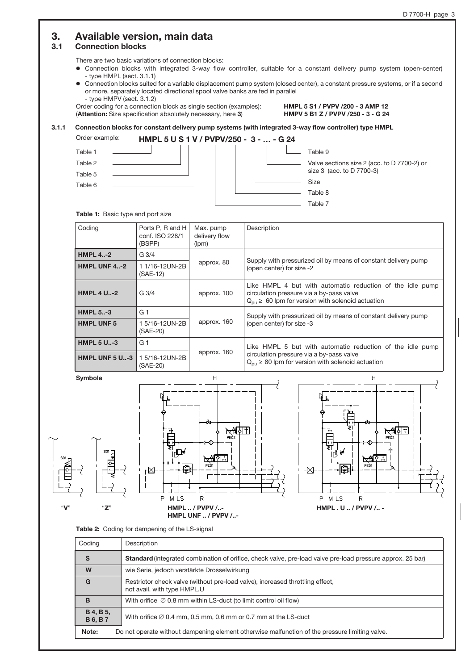# 3. Available version, main data

# 3.1 Connection blocks

There are two basic variations of connection blocks:

- o Connection blocks with integrated 3-way flow controller, suitable for a constant delivery pump system (open-center) - type HMPL (sect. 3.1.1)
- o Connection blocks suited for a variable displacement pump system (closed center), a constant pressure systems, or if a second or more, separately located directional spool valve banks are fed in parallel - type HMPV (sect. 3.1.2)

Order coding for a connection block as single section (examples): HMPL 5 S1 / PVPV /200 - 3 AMP 12<br>(Attention: Size specification absolutely necessary, here 3) HMPV 5 B1 Z / PVPV /250 - 3 - G 24 (Attention: Size specification absolutely necessary, here 3)

### 3.1.1 Connection blocks for constant delivery pump systems (with integrated 3-way flow controller) type HMPL



#### Table 1: Basic type and port size

| Coding                | Ports P, R and H<br>conf. ISO 228/1<br>(BSPP) | Max. pump<br>delivery flow<br>(lpm) | Description                                                                                                                                                               |  |  |
|-----------------------|-----------------------------------------------|-------------------------------------|---------------------------------------------------------------------------------------------------------------------------------------------------------------------------|--|--|
| <b>HMPL 4-2</b>       | G <sub>3/4</sub>                              |                                     | Supply with pressurized oil by means of constant delivery pump<br>(open center) for size -2                                                                               |  |  |
| <b>HMPL UNF 4-2</b>   | 1 1/16-12UN-2B<br>$(SAE-12)$                  | approx. 80                          |                                                                                                                                                                           |  |  |
| <b>HMPL 4 U.,-2</b>   | $G_3/4$                                       | approx. 100                         | Like HMPL 4 but with automatic reduction of the idle pump<br>circulation pressure via a by-pass valve<br>$Q_{\text{out}} \geq 60$ lpm for version with solenoid actuation |  |  |
| <b>HMPL 5-3</b>       | G 1                                           |                                     | Supply with pressurized oil by means of constant delivery pump                                                                                                            |  |  |
| <b>HMPL UNF 5</b>     | 15/16-12UN-2B<br>(SAE-20)                     | approx. 160                         | (open center) for size -3                                                                                                                                                 |  |  |
| <b>HMPL 5 U-3</b>     | G <sub>1</sub>                                |                                     | Like HMPL 5 but with automatic reduction of the idle pump                                                                                                                 |  |  |
| <b>HMPL UNF 5 U-3</b> | 15/16-12UN-2B<br>(SAE-20)                     | approx. 160                         | circulation pressure via a by-pass valve<br>$Q_{\text{nu}} \geq 80$ lpm for version with solenoid actuation                                                               |  |  |



Table 2: Coding for dampening of the LS-signal

| Coding                                                                                                  | Description                                                                                                       |  |
|---------------------------------------------------------------------------------------------------------|-------------------------------------------------------------------------------------------------------------------|--|
| S                                                                                                       | <b>Standard</b> (integrated combination of orifice, check valve, pre-load valve pre-load pressure approx. 25 bar) |  |
| W                                                                                                       | wie Serie, jedoch verstärkte Drosselwirkung                                                                       |  |
| G                                                                                                       | Restrictor check valve (without pre-load valve), increased throttling effect,<br>not avail. with type HMPL.U      |  |
| B                                                                                                       | With orifice $\varnothing$ 0.8 mm within LS-duct (to limit control oil flow)                                      |  |
| <b>B</b> 4, <b>B</b> 5,<br><b>B6, B7</b>                                                                | With orifice $\varnothing$ 0.4 mm, 0.5 mm, 0.6 mm or 0.7 mm at the LS-duct                                        |  |
| Note:<br>Do not operate without dampening element otherwise malfunction of the pressure limiting valve. |                                                                                                                   |  |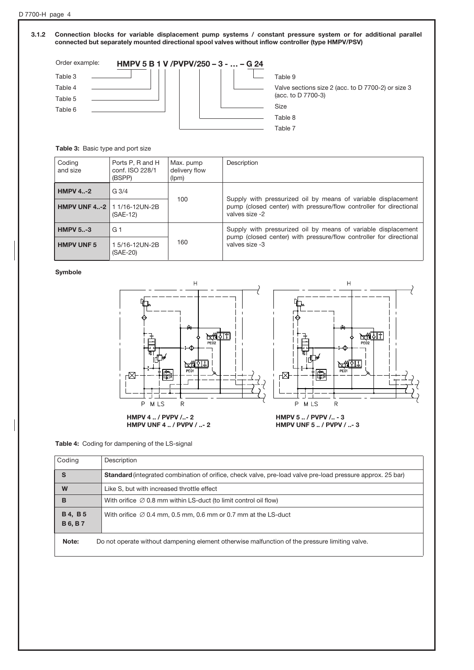#### 3.1.2 Connection blocks for variable displacement pump systems / constant pressure system or for additional parallel connected but separately mounted directional spool valves without inflow controller (type HMPV/PSV)



#### Table 3: Basic type and port size

| Coding<br>and size                   | Ports P, R and H<br>conf. ISO 228/1<br>(BSPP) | Max. pump<br>delivery flow<br>(lpm) | Description                                                                                                                                           |  |  |
|--------------------------------------|-----------------------------------------------|-------------------------------------|-------------------------------------------------------------------------------------------------------------------------------------------------------|--|--|
| <b>HMPV 4-2</b>                      | $G_3/4$                                       | 100                                 |                                                                                                                                                       |  |  |
| <b>HMPV UNF 4-2   1 1/16-12UN-2B</b> | $(SAE-12)$                                    |                                     | Supply with pressurized oil by means of variable displacement<br>pump (closed center) with pressure/flow controller for directional<br>valves size -2 |  |  |
| <b>HMPV 5-3</b>                      | G 1                                           |                                     | Supply with pressurized oil by means of variable displacement<br>pump (closed center) with pressure/flow controller for directional                   |  |  |
| <b>HMPV UNF 5</b>                    | 1 5/16-12UN-2B<br>(SAE-20)                    | 160                                 | valves size -3                                                                                                                                        |  |  |

#### Symbole



#### Table 4: Coding for dampening of the LS-signal

| Coding                           | Description                                                                                                |
|----------------------------------|------------------------------------------------------------------------------------------------------------|
| S                                | Standard (integrated combination of orifice, check valve, pre-load valve pre-load pressure approx. 25 bar) |
| W                                | Like S, but with increased throttle effect                                                                 |
| в                                | With orifice $\oslash$ 0.8 mm within LS-duct (to limit control oil flow)                                   |
| <b>B4, B5</b><br><b>B 6, B 7</b> | With orifice $\oslash$ 0.4 mm, 0.5 mm, 0.6 mm or 0.7 mm at the LS-duct                                     |
| Note:                            | Do not operate without dampening element otherwise malfunction of the pressure limiting valve.             |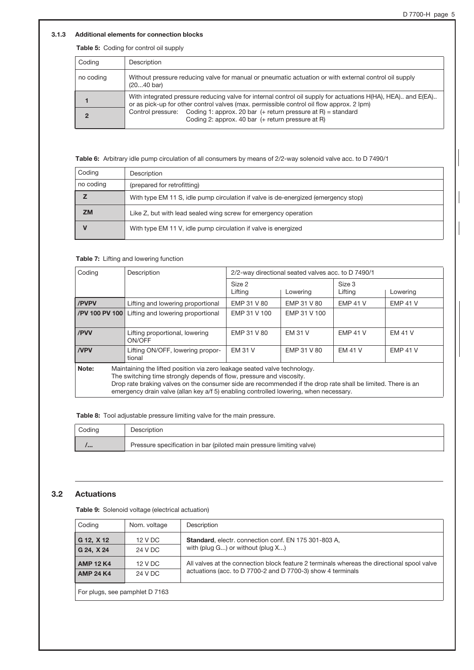### 3.1.3 Additional elements for connection blocks

### Table 5: Coding for control oil supply

| Coding    | Description                                                                                                                                                                                              |
|-----------|----------------------------------------------------------------------------------------------------------------------------------------------------------------------------------------------------------|
| no coding | Without pressure reducing valve for manual or pneumatic actuation or with external control oil supply<br>$(2040 \text{ bar})$                                                                            |
|           | With integrated pressure reducing valve for internal control oil supply for actuations H(HA), HEA) and E(EA)<br>or as pick-up for other control valves (max. permissible control oil flow approx. 2 lpm) |
|           | Control pressure: Coding 1: approx. 20 bar (+ return pressure at R) = standard<br>Coding 2: approx. 40 bar (+ return pressure at R)                                                                      |

Table 6: Arbitrary idle pump circulation of all consumers by means of 2/2-way solenoid valve acc. to D 7490/1

| Coding    | Description                                                                        |
|-----------|------------------------------------------------------------------------------------|
| no coding | (prepared for retrofitting)                                                        |
|           | With type EM 11 S, idle pump circulation if valve is de-energized (emergency stop) |
| <b>ZM</b> | Like Z, but with lead sealed wing screw for emergency operation                    |
|           | With type EM 11 V, idle pump circulation if valve is energized                     |

#### Table 7: Lifting and lowering function

| Coding                                                                                                                                                                                                                                                                                                                                                              | Description                                | 2/2-way directional seated valves acc. to D 7490/1 |                |                   |                 |
|---------------------------------------------------------------------------------------------------------------------------------------------------------------------------------------------------------------------------------------------------------------------------------------------------------------------------------------------------------------------|--------------------------------------------|----------------------------------------------------|----------------|-------------------|-----------------|
|                                                                                                                                                                                                                                                                                                                                                                     |                                            | Size 2<br>Lifting                                  | Lowering       | Size 3<br>Lifting | Lowering        |
| /PVPV                                                                                                                                                                                                                                                                                                                                                               | Lifting and lowering proportional          | EMP 31 V 80                                        | EMP 31 V 80    | <b>EMP 41 V</b>   | <b>EMP 41 V</b> |
| /PV 100 PV 100                                                                                                                                                                                                                                                                                                                                                      | Lifting and lowering proportional          | EMP 31 V 100                                       | EMP 31 V 100   |                   |                 |
| /PVV                                                                                                                                                                                                                                                                                                                                                                | Lifting proportional, lowering<br>ON/OFF   | EMP 31 V 80                                        | <b>EM 31 V</b> | <b>EMP 41 V</b>   | <b>EM 41 V</b>  |
| <b>NPV</b>                                                                                                                                                                                                                                                                                                                                                          | Lifting ON/OFF, lowering propor-<br>tional | <b>EM 31 V</b>                                     | EMP 31 V 80    | <b>EM 41 V</b>    | <b>EMP 41 V</b> |
| Note:<br>Maintaining the lifted position via zero leakage seated valve technology.<br>The switching time strongly depends of flow, pressure and viscosity.<br>Drop rate braking valves on the consumer side are recommended if the drop rate shall be limited. There is an<br>emergency drain valve (allan key a/f 5) enabling controlled lowering, when necessary. |                                            |                                                    |                |                   |                 |

Table 8: Tool adjustable pressure limiting valve for the main pressure.

| Coding       | Description                                                          |
|--------------|----------------------------------------------------------------------|
| $\mathbf{I}$ | Pressure specification in bar (piloted main pressure limiting valve) |

# 3.2 Actuations

Table 9: Solenoid voltage (electrical actuation)

| Coding                         | Nom. voltage | Description                                                                                |
|--------------------------------|--------------|--------------------------------------------------------------------------------------------|
| G 12, X 12                     | 12 V DC      | Standard, electr. connection conf. EN 175 301-803 A,                                       |
| G 24, X 24                     | 24 V DC      | with (plug $G$ ) or without (plug $X$ )                                                    |
| <b>AMP 12 K4</b>               | 12 V DC      | All valves at the connection block feature 2 terminals whereas the directional spool valve |
| <b>AMP 24 K4</b>               | 24 V DC      | actuations (acc. to D 7700-2 and D 7700-3) show 4 terminals                                |
| For plugs, see pamphlet D 7163 |              |                                                                                            |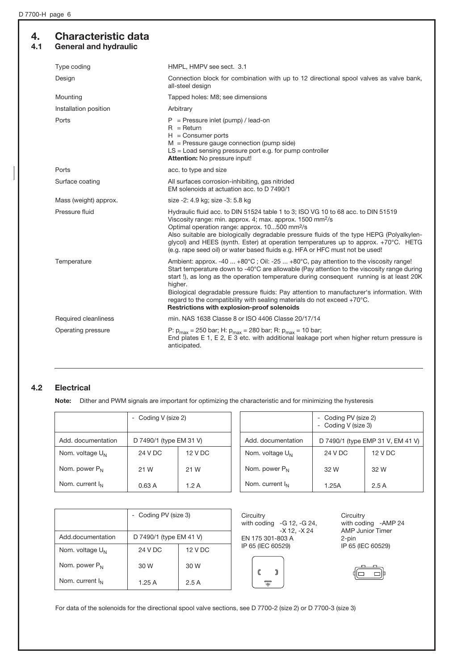# 4. Characteristic data 4.1 General and hydraulic

| Type coding           | HMPL, HMPV see sect. 3.1                                                                                                                                                                                                                                                                                                                                                                                                                                                                                                |
|-----------------------|-------------------------------------------------------------------------------------------------------------------------------------------------------------------------------------------------------------------------------------------------------------------------------------------------------------------------------------------------------------------------------------------------------------------------------------------------------------------------------------------------------------------------|
| Design                | Connection block for combination with up to 12 directional spool valves as valve bank,<br>all-steel design                                                                                                                                                                                                                                                                                                                                                                                                              |
| Mounting              | Tapped holes: M8; see dimensions                                                                                                                                                                                                                                                                                                                                                                                                                                                                                        |
| Installation position | Arbitrary                                                                                                                                                                                                                                                                                                                                                                                                                                                                                                               |
| Ports                 | $P =$ Pressure inlet (pump) / lead-on<br>$R = Return$<br>$H =$ Consumer ports<br>$M =$ Pressure gauge connection (pump side)<br>$LS =$ Load sensing pressure port e.g. for pump controller<br>Attention: No pressure input!                                                                                                                                                                                                                                                                                             |
| Ports                 | acc. to type and size                                                                                                                                                                                                                                                                                                                                                                                                                                                                                                   |
| Surface coating       | All surfaces corrosion-inhibiting, gas nitrided<br>EM solenoids at actuation acc. to D 7490/1                                                                                                                                                                                                                                                                                                                                                                                                                           |
| Mass (weight) approx. | size -2: 4.9 kg; size -3: 5.8 kg                                                                                                                                                                                                                                                                                                                                                                                                                                                                                        |
| Pressure fluid        | Hydraulic fluid acc. to DIN 51524 table 1 to 3; ISO VG 10 to 68 acc. to DIN 51519<br>Viscosity range: min. approx. 4; max. approx. 1500 mm <sup>2</sup> /s<br>Optimal operation range: approx. 10500 mm <sup>2</sup> /s<br>Also suitable are biologically degradable pressure fluids of the type HEPG (Polyalkylen-<br>glycol) and HEES (synth. Ester) at operation temperatures up to approx. +70°C. HETG<br>(e.g. rape seed oil) or water based fluids e.g. HFA or HFC must not be used!                              |
| Temperature           | Ambient: approx. -40  +80°C; Oil: -25  +80°C, pay attention to the viscosity range!<br>Start temperature down to -40°C are allowable (Pay attention to the viscosity range during<br>start!), as long as the operation temperature during consequent running is at least 20K<br>higher.<br>Biological degradable pressure fluids: Pay attention to manufacturer's information. With<br>regard to the compatibility with sealing materials do not exceed $+70^{\circ}$ C.<br>Restrictions with explosion-proof solenoids |
| Required cleanliness  | min, NAS 1638 Classe 8 or ISO 4406 Classe 20/17/14                                                                                                                                                                                                                                                                                                                                                                                                                                                                      |
| Operating pressure    | P: $p_{max}$ = 250 bar; H: $p_{max}$ = 280 bar; R: $p_{max}$ = 10 bar;<br>End plates E 1, E 2, E 3 etc. with additional leakage port when higher return pressure is<br>anticipated.                                                                                                                                                                                                                                                                                                                                     |

# 4.2 Electrical

Note: Dither and PWM signals are important for optimizing the characteristic and for minimizing the hysteresis

|                      | - Coding V (size 2)     |           |
|----------------------|-------------------------|-----------|
| Add. documentation   | D 7490/1 (type EM 31 V) |           |
| Nom. voltage $U_N$   | 24 V DC                 | $12 VD$ C |
| Nom. power $P_{N}$   | 21 W                    | 21 W      |
| Nom. current $I_{N}$ | 0.63A                   | 1.2 A     |

|                      | - Coding PV (size 2)<br>- Coding V (size 3) |                                   |
|----------------------|---------------------------------------------|-----------------------------------|
| Add. documentation   |                                             | D 7490/1 (type EMP 31 V, EM 41 V) |
| Nom. voltage $U_{N}$ | 24 V DC                                     | $12 VD$ C                         |
| Nom. power $P_{N}$   | 32 W                                        | 32 W                              |
| Nom. current $I_N$   | 1.25A                                       | 2.5A                              |

|                    | - Coding PV (size 3)    |         |
|--------------------|-------------------------|---------|
| Add.documentation  | D 7490/1 (type EM 41 V) |         |
| Nom. voltage $U_N$ | 24 V DC                 | 12 V DC |
| Nom. power $P_N$   | 30 W                    | 30 W    |
| Nom. current $I_N$ | 1.25A                   | 2.5A    |

| Circuitry         |                                 |  |  |
|-------------------|---------------------------------|--|--|
|                   | with coding $-G 12$ , $-G 24$ , |  |  |
|                   | -X 12. -X 24                    |  |  |
| EN 175 301-803 A  |                                 |  |  |
| IP 65 (IEC 60529) |                                 |  |  |



**Circuitry** with coding -AMP 24 AMP Junior Timer 2-pin IP 65 (IEC 60529)



For data of the solenoids for the directional spool valve sections, see D 7700-2 (size 2) or D 7700-3 (size 3)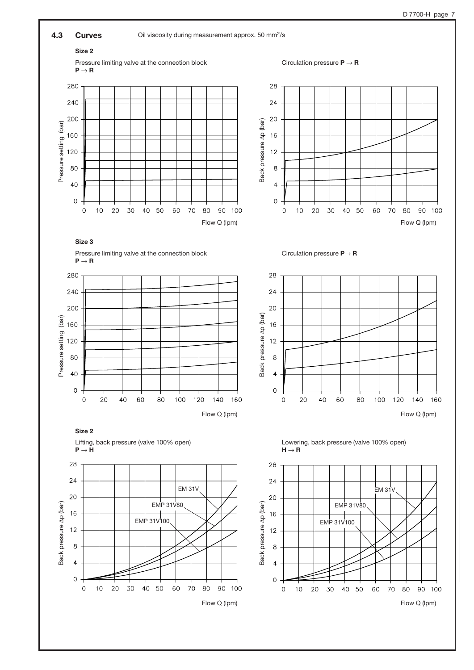

Flow Q (lpm) Flow Q (lpm)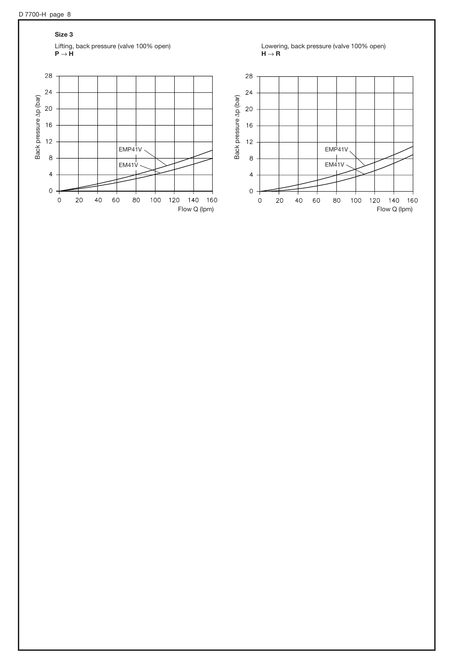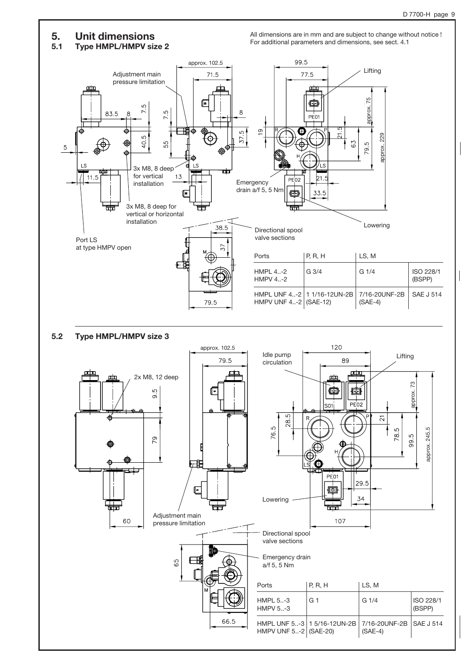# 5. Unit dimensions

5.1 Type HMPL/HMPV size 2

All dimensions are in mm and are subject to change without notice ! For additional parameters and dimensions, see sect. 4.1



# 5.2 Type HMPL/HMPV size 3

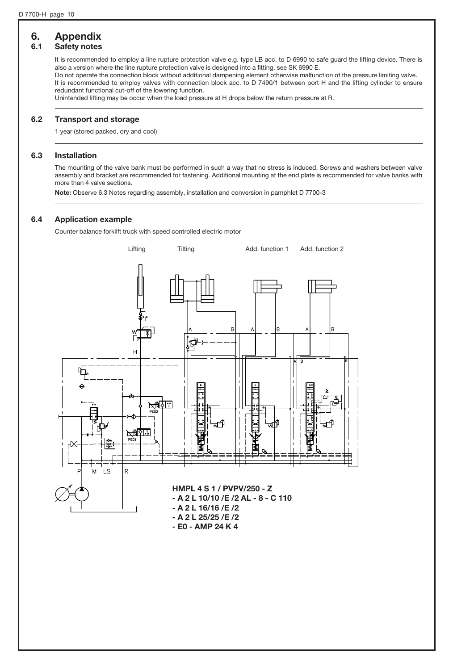# 6. Appendix

# 6.1 Safety notes

It is recommended to employ a line rupture protection valve e.g. type LB acc. to D 6990 to safe guard the lifting device. There is also a version where the line rupture protection valve is designed into a fitting, see SK 6990 E.

Do not operate the connection block without additional dampening element otherwise malfunction of the pressure limiting valve. It is recommended to employ valves with connection block acc. to D 7490/1 between port H and the lifting cylinder to ensure redundant functional cut-off of the lowering function.

Unintended lifting may be occur when the load pressure at H drops below the return pressure at R.

# 6.2 Transport and storage

1 year (stored packed, dry and cool)

# 6.3 Installation

The mounting of the valve bank must be performed in such a way that no stress is induced. Screws and washers between valve assembly and bracket are recommended for fastening. Additional mounting at the end plate is recommended for valve banks with more than 4 valve sections.

Note: Observe 6.3 Notes regarding assembly, installation and conversion in pamphlet D 7700-3

# 6.4 Application example

Counter balance forklift truck with speed controlled electric motor